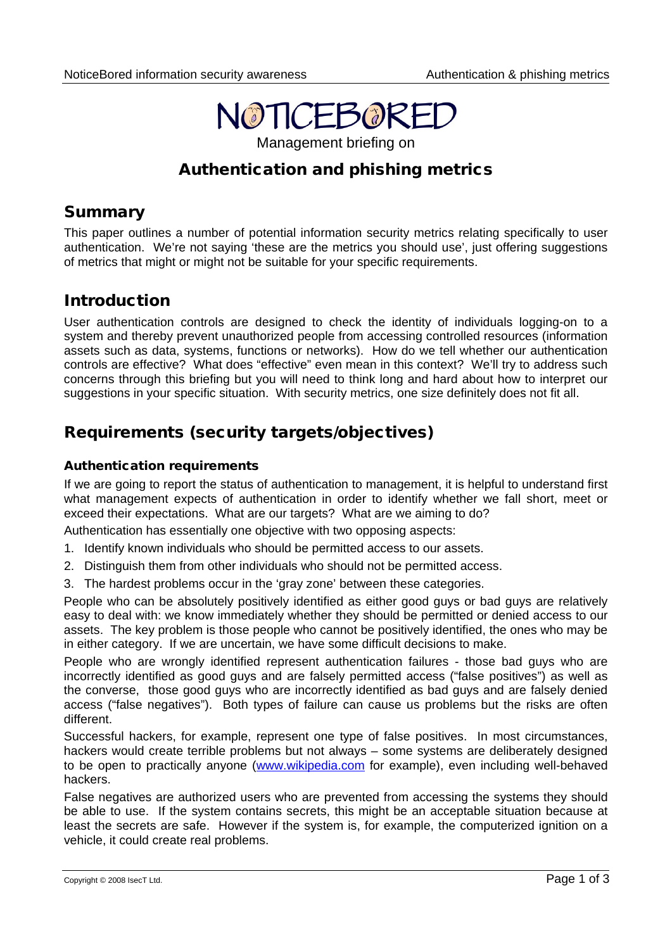

Management briefing on

# Authentication and phishing metrics

## Summary

This paper outlines a number of potential information security metrics relating specifically to user authentication. We're not saying 'these are the metrics you should use', just offering suggestions of metrics that might or might not be suitable for your specific requirements.

## Introduction

User authentication controls are designed to check the identity of individuals logging-on to a system and thereby prevent unauthorized people from accessing controlled resources (information assets such as data, systems, functions or networks). How do we tell whether our authentication controls are effective? What does "effective" even mean in this context? We'll try to address such concerns through this briefing but you will need to think long and hard about how to interpret our suggestions in your specific situation. With security metrics, one size definitely does not fit all.

## Requirements (security targets/objectives)

### Authentication requirements

If we are going to report the status of authentication to management, it is helpful to understand first what management expects of authentication in order to identify whether we fall short, meet or exceed their expectations. What are our targets? What are we aiming to do?

Authentication has essentially one objective with two opposing aspects:

- 1. Identify known individuals who should be permitted access to our assets.
- 2. Distinguish them from other individuals who should not be permitted access.
- 3. The hardest problems occur in the 'gray zone' between these categories.

People who can be absolutely positively identified as either good guys or bad guys are relatively easy to deal with: we know immediately whether they should be permitted or denied access to our assets. The key problem is those people who cannot be positively identified, the ones who may be in either category. If we are uncertain, we have some difficult decisions to make.

People who are wrongly identified represent authentication failures - those bad guys who are incorrectly identified as good guys and are falsely permitted access ("false positives") as well as the converse, those good guys who are incorrectly identified as bad guys and are falsely denied access ("false negatives"). Both types of failure can cause us problems but the risks are often different.

Successful hackers, for example, represent one type of false positives. In most circumstances, hackers would create terrible problems but not always – some systems are deliberately designed to be open to practically anyone [\(www.wikipedia.com](http://www.wikipedia.com/) for example), even including well-behaved hackers.

False negatives are authorized users who are prevented from accessing the systems they should be able to use. If the system contains secrets, this might be an acceptable situation because at least the secrets are safe. However if the system is, for example, the computerized ignition on a vehicle, it could create real problems.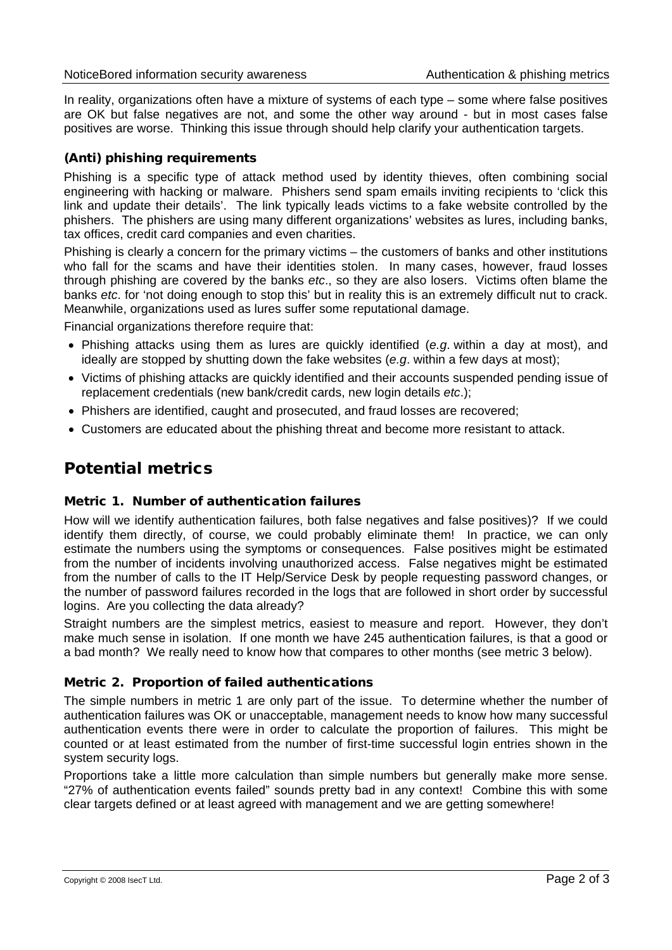In reality, organizations often have a mixture of systems of each type – some where false positives are OK but false negatives are not, and some the other way around - but in most cases false positives are worse. Thinking this issue through should help clarify your authentication targets.

### (Anti) phishing requirements

Phishing is a specific type of attack method used by identity thieves, often combining social engineering with hacking or malware. Phishers send spam emails inviting recipients to 'click this link and update their details'. The link typically leads victims to a fake website controlled by the phishers. The phishers are using many different organizations' websites as lures, including banks, tax offices, credit card companies and even charities.

Phishing is clearly a concern for the primary victims – the customers of banks and other institutions who fall for the scams and have their identities stolen. In many cases, however, fraud losses through phishing are covered by the banks *etc*., so they are also losers. Victims often blame the banks *etc*. for 'not doing enough to stop this' but in reality this is an extremely difficult nut to crack. Meanwhile, organizations used as lures suffer some reputational damage.

Financial organizations therefore require that:

- Phishing attacks using them as lures are quickly identified (*e.g*. within a day at most), and ideally are stopped by shutting down the fake websites (*e.g*. within a few days at most);
- Victims of phishing attacks are quickly identified and their accounts suspended pending issue of replacement credentials (new bank/credit cards, new login details *etc*.);
- Phishers are identified, caught and prosecuted, and fraud losses are recovered;
- Customers are educated about the phishing threat and become more resistant to attack.

## Potential metrics

### Metric 1. Number of authentication failures

How will we identify authentication failures, both false negatives and false positives)? If we could identify them directly, of course, we could probably eliminate them! In practice, we can only estimate the numbers using the symptoms or consequences. False positives might be estimated from the number of incidents involving unauthorized access. False negatives might be estimated from the number of calls to the IT Help/Service Desk by people requesting password changes, or the number of password failures recorded in the logs that are followed in short order by successful logins. Are you collecting the data already?

Straight numbers are the simplest metrics, easiest to measure and report. However, they don't make much sense in isolation. If one month we have 245 authentication failures, is that a good or a bad month? We really need to know how that compares to other months (see metric 3 below).

#### Metric 2. Proportion of failed authentications

The simple numbers in metric 1 are only part of the issue. To determine whether the number of authentication failures was OK or unacceptable, management needs to know how many successful authentication events there were in order to calculate the proportion of failures. This might be counted or at least estimated from the number of first-time successful login entries shown in the system security logs.

Proportions take a little more calculation than simple numbers but generally make more sense. "27% of authentication events failed" sounds pretty bad in any context! Combine this with some clear targets defined or at least agreed with management and we are getting somewhere!